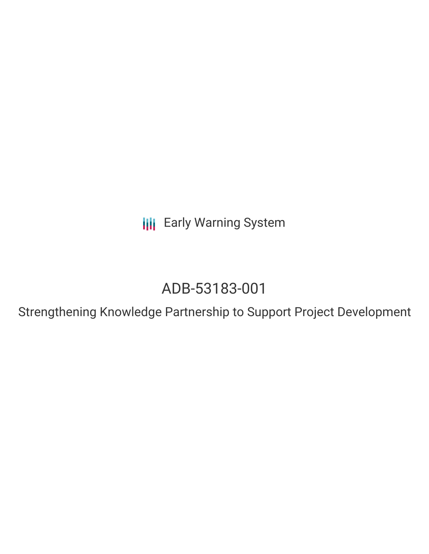**III** Early Warning System

# ADB-53183-001

Strengthening Knowledge Partnership to Support Project Development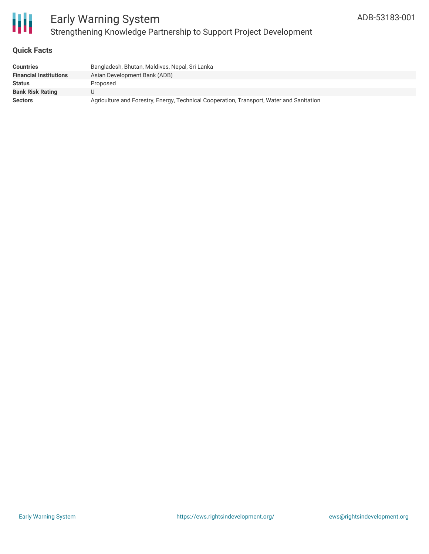

### Early Warning System Strengthening Knowledge Partnership to Support Project Development

#### **Quick Facts**

| <b>Countries</b>              | Bangladesh, Bhutan, Maldives, Nepal, Sri Lanka                                           |
|-------------------------------|------------------------------------------------------------------------------------------|
| <b>Financial Institutions</b> | Asian Development Bank (ADB)                                                             |
| <b>Status</b>                 | Proposed                                                                                 |
| <b>Bank Risk Rating</b>       |                                                                                          |
| <b>Sectors</b>                | Agriculture and Forestry, Energy, Technical Cooperation, Transport, Water and Sanitation |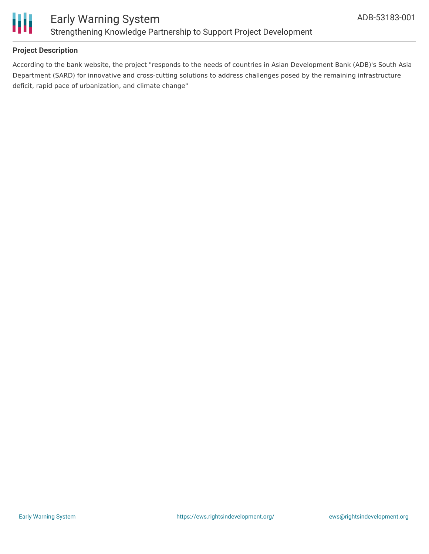

#### **Project Description**

According to the bank website, the project "responds to the needs of countries in Asian Development Bank (ADB)'s South Asia Department (SARD) for innovative and cross-cutting solutions to address challenges posed by the remaining infrastructure deficit, rapid pace of urbanization, and climate change"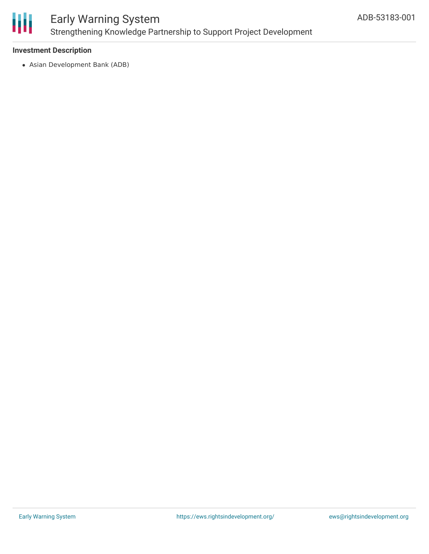

### Early Warning System Strengthening Knowledge Partnership to Support Project Development

#### **Investment Description**

Asian Development Bank (ADB)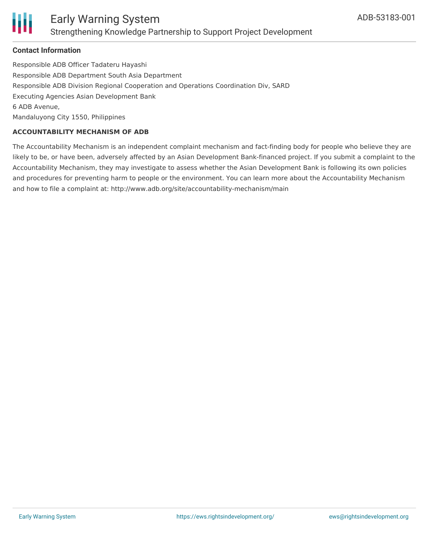

#### **Contact Information**

Responsible ADB Officer Tadateru Hayashi Responsible ADB Department South Asia Department Responsible ADB Division Regional Cooperation and Operations Coordination Div, SARD Executing Agencies Asian Development Bank 6 ADB Avenue, Mandaluyong City 1550, Philippines

#### **ACCOUNTABILITY MECHANISM OF ADB**

The Accountability Mechanism is an independent complaint mechanism and fact-finding body for people who believe they are likely to be, or have been, adversely affected by an Asian Development Bank-financed project. If you submit a complaint to the Accountability Mechanism, they may investigate to assess whether the Asian Development Bank is following its own policies and procedures for preventing harm to people or the environment. You can learn more about the Accountability Mechanism and how to file a complaint at: http://www.adb.org/site/accountability-mechanism/main